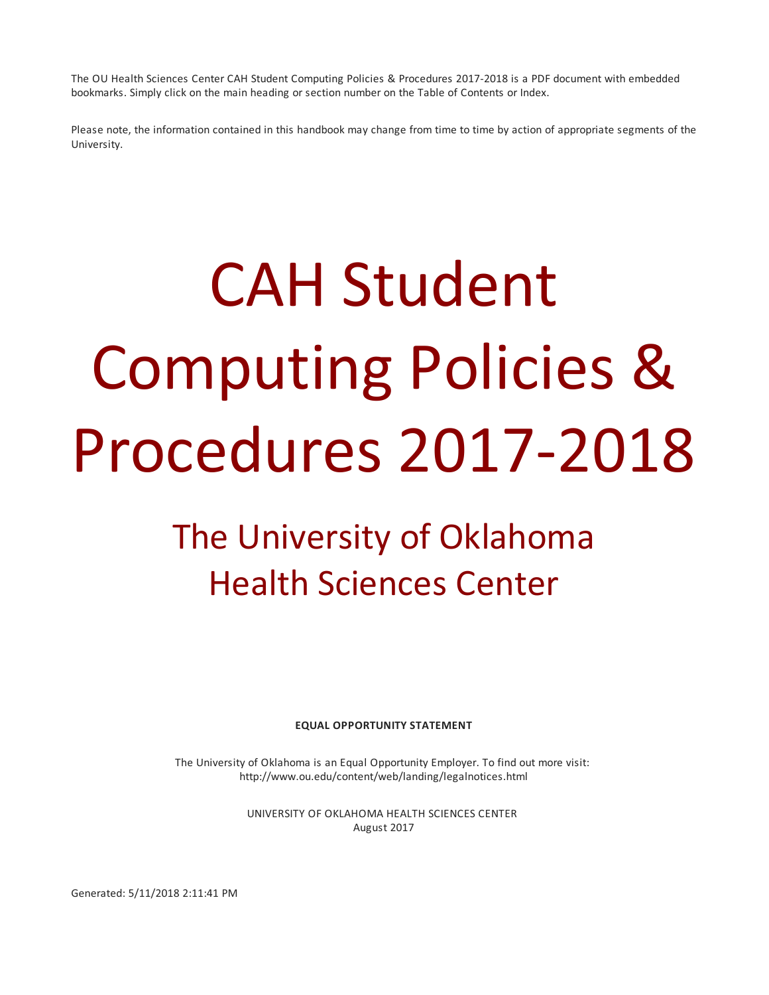The OU Health Sciences Center CAH Student Computing Policies & Procedures 2017-2018 is a PDF document with embedded bookmarks. Simply click on the main heading or section number on the Table of Contents or Index.

Please note, the information contained in this handbook may change from time to time by action of appropriate segments of the University.

# CAH Student Computing Policies & Procedures 2017-2018

## The University of Oklahoma Health Sciences Center

**EQUAL OPPORTUNITY STATEMENT**

The University of Oklahoma is an Equal Opportunity Employer. To find out more visit: http://www.ou.edu/content/web/landing/legalnotices.html

> UNIVERSITY OF OKLAHOMA HEALTH SCIENCES CENTER August 2017

Generated: 5/11/2018 2:11:41 PM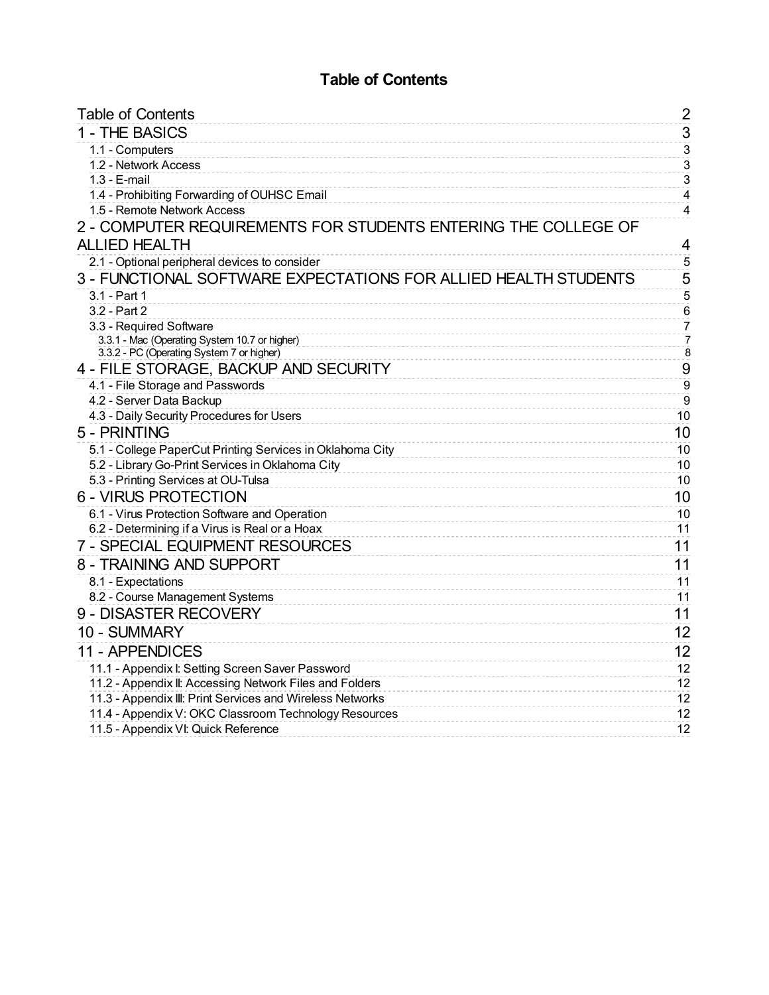## **Table of Contents**

<span id="page-1-0"></span>

| <b>Table of Contents</b>                                                                   | 2                                |
|--------------------------------------------------------------------------------------------|----------------------------------|
| 1 - THE BASICS                                                                             | $\overline{3}$                   |
| 1.1 - Computers                                                                            | $\overline{3}$                   |
| 1.2 - Network Access                                                                       | $\overline{3}$                   |
| $1.3 - E$ -mail                                                                            | $\sqrt{3}$                       |
| 1.4 - Prohibiting Forwarding of OUHSC Email                                                | $\overline{4}$                   |
| 1.5 - Remote Network Access                                                                | $\overline{\mathbf{4}}$          |
| 2 - COMPUTER REQUIREMENTS FOR STUDENTS ENTERING THE COLLEGE OF                             |                                  |
| <b>ALLIED HEALTH</b>                                                                       | 4                                |
| 2.1 - Optional peripheral devices to consider                                              | $\overline{5}$                   |
| 3 - FUNCTIONAL SOFTWARE EXPECTATIONS FOR ALLIED HEALTH STUDENTS                            | 5                                |
| 3.1 - Part 1                                                                               | $\overline{5}$                   |
| 3.2 - Part 2                                                                               | $\,6$                            |
| 3.3 - Required Software                                                                    | $\overline{7}$                   |
| 3.3.1 - Mac (Operating System 10.7 or higher)<br>3.3.2 - PC (Operating System 7 or higher) | $\overline{7}$<br>$\overline{8}$ |
| 4 - FILE STORAGE, BACKUP AND SECURITY                                                      | 9                                |
| 4.1 - File Storage and Passwords                                                           | $\boldsymbol{9}$                 |
| 4.2 - Server Data Backup                                                                   | $\overline{9}$                   |
| 4.3 - Daily Security Procedures for Users                                                  | 10                               |
| 5 - PRINTING                                                                               | 10                               |
| 5.1 - College PaperCut Printing Services in Oklahoma City                                  | 10                               |
| 5.2 - Library Go-Print Services in Oklahoma City                                           | 10                               |
| 5.3 - Printing Services at OU-Tulsa                                                        | 10                               |
| <b>6 - VIRUS PROTECTION</b>                                                                | 10                               |
| 6.1 - Virus Protection Software and Operation                                              | 10                               |
| 6.2 - Determining if a Virus is Real or a Hoax                                             | 11                               |
| 7 - SPECIAL EQUIPMENT RESOURCES                                                            | 11                               |
| 8 - TRAINING AND SUPPORT                                                                   | 11                               |
| 8.1 - Expectations                                                                         | 11                               |
| 8.2 - Course Management Systems                                                            | 11                               |
| 9 - DISASTER RECOVERY                                                                      | 11                               |
| 10 - SUMMARY                                                                               | 12                               |
| 11 - APPENDICES                                                                            | 12                               |
| 11.1 - Appendix I: Setting Screen Saver Password                                           | 12                               |
| 11.2 - Appendix II: Accessing Network Files and Folders                                    | 12                               |
| 11.3 - Appendix III: Print Services and Wireless Networks                                  | 12                               |
| 11.4 - Appendix V: OKC Classroom Technology Resources                                      | 12                               |
| 11.5 - Appendix VI: Quick Reference                                                        | 12                               |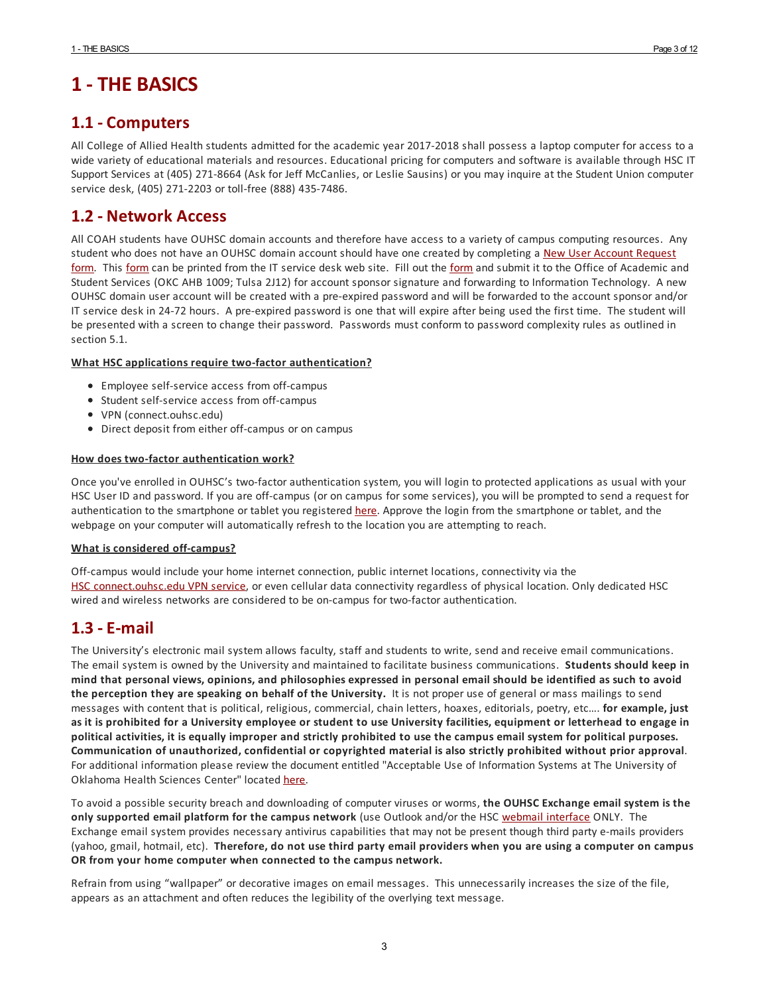## <span id="page-2-0"></span>**1 - THE BASICS**

## <span id="page-2-1"></span>**1.1 - Computers**

All College of Allied Health students admitted for the academic year 2017-2018 shall possess a laptop computer foraccess to a wide variety of educational materials and resources. Educational pricing for computers and software is available through HSC IT Support Services at (405) 271-8664 (Ask for Jeff McCanlies, or Leslie Sausins) or you may inquire at the Student Union computer service desk, (405) 271-2203 or toll-free (888) 435-7486.

## <span id="page-2-2"></span>**1.2 - Network Access**

All COAH students have OUHSC domain accounts and therefore have access to a variety of campus computing resources. Any student who does not have an OUHSC domain account should have one created by [completing](http://it.ouhsc.edu/forms/ITSecurity.pdf) a New User Account Request [form](http://it.ouhsc.edu/forms/ITSecurity.pdf). This form can be printed from the IT service desk web site. Fill out the form and submit it to the Office of Academic and Student Services (OKC AHB 1009; Tulsa 2J12) foraccount sponsor signature and forwarding to Information Technology. A new OUHSC domain useraccount will be created with a pre-expired password and will be forwarded to the account sponsorand/or IT service desk in 24-72 hours. A pre-expired password is one that will expire after being used the first time. The student will be presented with a screen to change their password. Passwords must conform to password complexity rules as outlined in section 5.1.

#### **What HSC applications require two-factor authentication?**

- Employee self-service access from off-campus
- Student self-service access from off-campus
- VPN (connect.ouhsc.edu)
- Direct deposit from either off-campus or on campus

#### **How does two-factor authentication work?**

Once you've enrolled in OUHSC's two-factor authentication system, you will login to protected applications as usual with your HSC User ID and password. If you are off-campus (or on campus for some services), you will be prompted to send a request for authentication to the smartphone or tablet you registered [here](http://duo.ouhsc.edu). Approve the login from the smartphone or tablet, and the webpage on your computer will automatically refresh to the location you are attempting to reach.

#### **What is considered off-campus?**

Off-campus would include your home internet connection, public internet locations, connectivity via the [HSC](http://connect.ouhsc.edu) [connect.ouhsc.edu](http://connect.ouhsc.edu/) VPN [service](http://connect.ouhsc.edu), or even cellular data connectivity regardless of physical location. Only dedicated HSC wired and wireless networks are considered to be on-campus for two-factorauthentication.

## <span id="page-2-3"></span>**1.3 -E-mail**

The University's electronic mail system allows faculty, staff and students to write, send and receive email communications. The email system is owned by the University and maintained to facilitate business communications. **Students should keep in** mind that personal views, opinions, and philosophies expressed in personal email should be identified as such to avoid **the perception they are speaking on behalf of the University.** It is not proper use of general or mass mailings to send messages with content that is political, religious, commercial, chain letters, hoaxes, editorials, poetry, etc…. **for example, just** as it is prohibited for a University employee or student to use University facilities, equipment or letterhead to engage in political activities, it is equally improper and strictly prohibited to use the campus email system for political purposes. **Communication of unauthorized, confidential or copyrighted material is also strictly prohibited without prior approval**. For additional information please review the document entitled "Acceptable Use of Information Systems at The University of Oklahoma Health Sciences Center" located [here](http://it.ouhsc.edu/policies/AcceptableUse.asp).

To avoid a possible security breach and downloading of computer viruses or worms, **the OUHSC Exchange email system is the only supported email platform for the campus network** (use Outlook and/or the HSC webmail [interface](http://www.ouhsc.edu/webmail/) ONLY. The Exchange email system provides necessary antivirus capabilities that may not be present though third party e-mails providers (yahoo, gmail, hotmail, etc). Therefore, do not use third party email providers when you are using a computer on campus **OR from your home computer when connected to the campus network.**

Refrain from using "wallpaper" or decorative images on email messages. This unnecessarily increases the size of the file, appears as an attachment and often reduces the legibility of the overlying text message.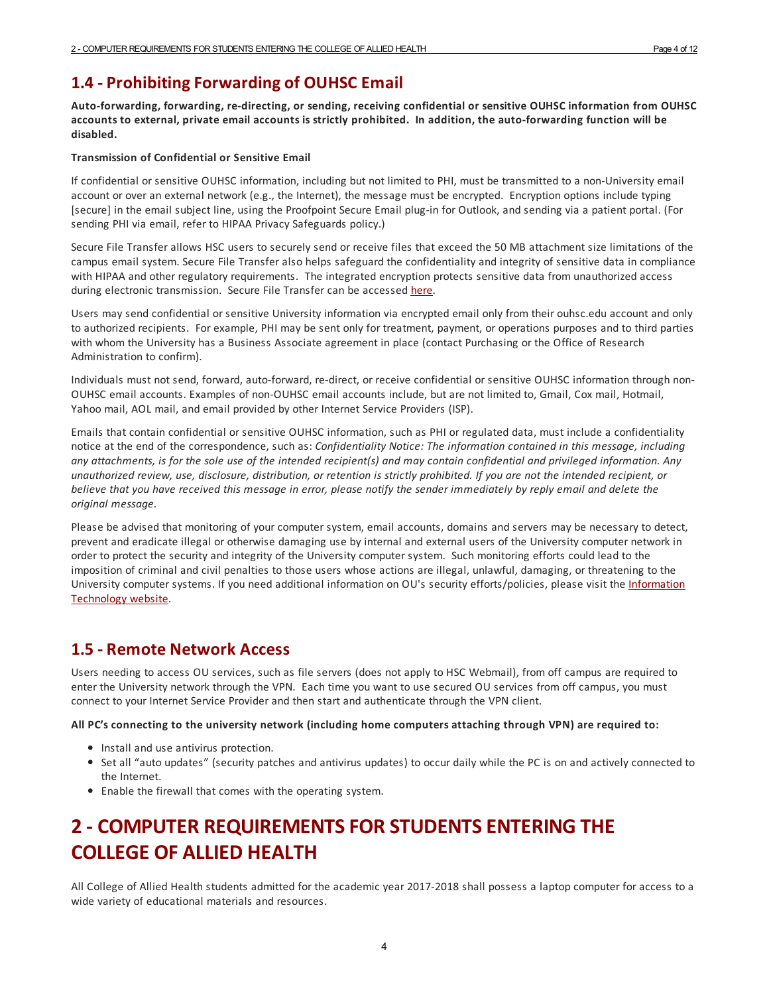## <span id="page-3-0"></span>**1.4 - ProhibitingForwarding of OUHSC Email**

**Auto-forwarding, forwarding, re-directing, or sending, receiving confidential or sensitive OUHSC information from OUHSC** accounts to external, private email accounts is strictly prohibited. In addition, the auto-forwarding function will be **disabled.**

#### **Transmission of Confidential or Sensitive Email**

If confidential or sensitive OUHSC information, including but not limited to PHI, must be transmitted to a non-University email account or over an external network (e.g., the Internet), the message must be encrypted. Encryption options include typing [secure] in the email subject line, using the Proofpoint Secure Email plug-in for Outlook, and sending via a patient portal. (For sending PHI via email, refer to HIPAA Privacy Safeguards policy.)

Secure File Transfer allows HSC users to securely send or receive files that exceed the 50 MB attachment size limitations of the campus email system. Secure File Transferalso helps safeguard the confidentiality and integrity of sensitive data in compliance with HIPAA and other regulatory requirements. The integrated encryption protects sensitive data from unauthorized access during electronic transmission. Secure File Transfer can be accessed [here](http://it.ouhsc.edu/services/SecureFileTransfer.asp).

Users may send confidential or sensitive University information via encrypted email only from their ouhsc.edu account and only to authorized recipients. For example, PHI may be sent only for treatment, payment, or operations purposes and to third parties with whom the University has a Business Associate agreement in place (contact Purchasing or the Office of Research Administration to confirm).

Individuals must not send, forward, auto-forward, re-direct, or receive confidential or sensitive OUHSC information through non-OUHSC email accounts. Examples of non-OUHSC email accounts include, but are not limited to, Gmail, Cox mail, Hotmail, Yahoo mail, AOL mail, and email provided by other Internet Service Providers (ISP).

Emails that contain confidential or sensitive OUHSC information, such as PHI or regulated data, must include a confidentiality notice at the end of the correspondence, such as: *Confidentiality Notice: The information contained in this message, including* any attachments, is for the sole use of the intended recipient(s) and may contain confidential and privileged information. Any unauthorized review, use, disclosure, distribution, or retention is strictly prohibited. If you are not the intended recipient, or believe that you have received this message in error, please notify the sender immediately by reply email and delete the *original message.*

Please be advised that monitoring of your computer system, email accounts, domains and servers may be necessary to detect, prevent and eradicate illegal or otherwise damaging use by internal and external users of the University computer network in order to protect the security and integrity of the University computer system. Such monitoring efforts could lead to the imposition of criminal and civil penalties to those users whose actions are illegal, unlawful, damaging, or threatening to the University computer systems. If you need additional information on OU's security [efforts/policies,](http://security.ou.edu/) please visit the Information Technology website.

#### <span id="page-3-1"></span>**1.5 - Remote Network Access**

Users needing to access OU services, such as file servers (does not apply to HSC Webmail), from off campus are required to enter the University network through the VPN. Each time you want to use secured OU services from off campus, you must connect to your Internet Service Providerand then start and authenticate through the VPN client.

**All PC's connecting to the university network (including home computers attaching through VPN) are required to:**

- Install and use antivirus protection.
- Set all "auto updates" (security patches and antivirus updates) to occur daily while the PC is on and actively connected to the Internet.
- Enable the firewall that comes with the operating system.

## <span id="page-3-2"></span>**2 - COMPUTER REQUIREMENTSFOR STUDENTSENTERING THE COLLEGE OF ALLIED HEALTH**

All College of Allied Health students admitted for the academic year 2017-2018 shall possess a laptop computer foraccess to a wide variety of educational materials and resources.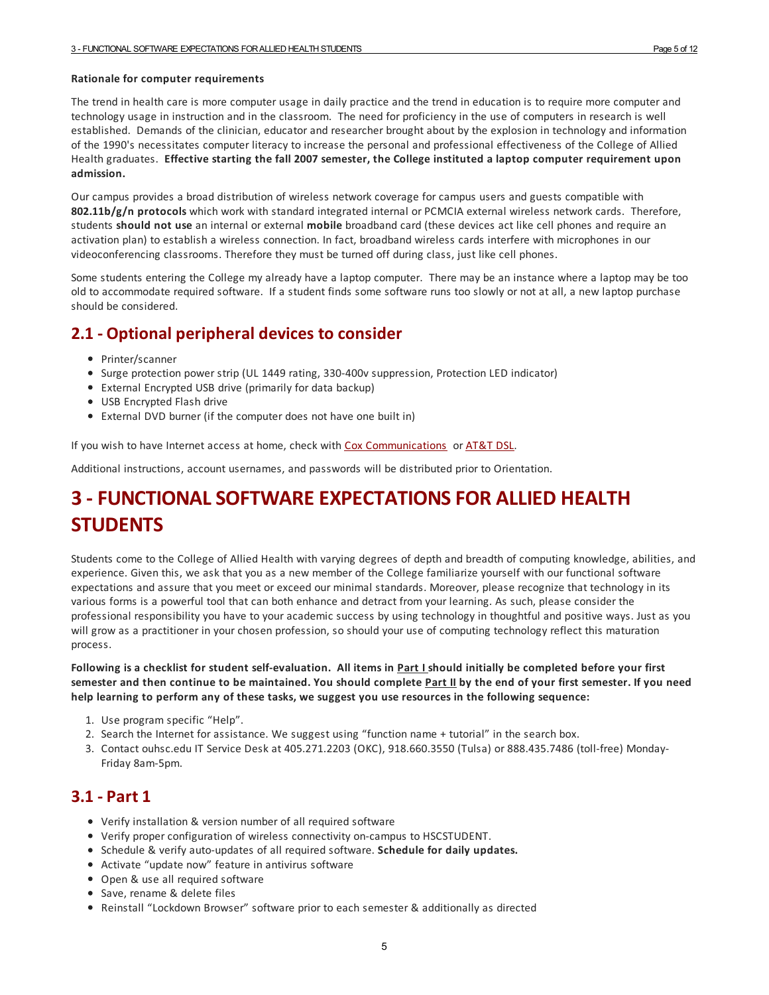#### **Rationale for computer requirements**

The trend in health care is more computer usage in daily practice and the trend in education is to require more computerand technology usage in instruction and in the classroom. The need for proficiency in the use of computers in research is well established. Demands of the clinician, educator and researcher brought about by the explosion in technology and information of the 1990's necessitates computer literacy to increase the personal and professional effectiveness of the College of Allied Health graduates. **Effective starting the fall 2007 semester, the College instituted a laptop computer requirement upon admission.**

Our campus provides a broad distribution of wireless network coverage for campus users and guests compatible with **802.11b/g/n protocols** which work with standard integrated internal or PCMCIA external wireless network cards. Therefore, students **should not use** an internal or external **mobile** broadband card (these devices act like cell phones and require an activation plan) to establish a wireless connection. In fact, broadband wireless cards interfere with microphones in our videoconferencing classrooms. Therefore they must be turned off during class, just like cell phones.

Some students entering the College my already have a laptop computer. There may be an instance where a laptop may be too old to accommodate required software. If a student finds some software runs too slowly or not at all, a new laptop purchase should be considered.

## <span id="page-4-0"></span>**2.1 - Optional peripheral devices to consider**

- Printer/scanner
- Surge protection power strip (UL 1449 rating, 330-400v suppression, Protection LED indicator)
- External Encrypted USB drive (primarily for data backup)
- USB Encrypted Flash drive
- External DVD burner (if the computer does not have one built in)

If you wish to have Internet access at home, check with Cox [Communications](http://cox.com) or [AT&T](http://www.att.com/dsl/) DSL.

Additional instructions, account usernames, and passwords will be distributed prior to Orientation.

## <span id="page-4-1"></span>**3 -FUNCTIONALSOFTWAREEXPECTATIONSFOR ALLIED HEALTH STUDENTS**

Students come to the College of Allied Health with varying degrees of depth and breadth of computing knowledge, abilities, and experience. Given this, we ask that you as a new member of the College familiarize yourself with our functional software expectations and assure that you meet or exceed our minimal standards. Moreover, please recognize that technology in its various forms is a powerful tool that can both enhance and detract from your learning. As such, please consider the professional responsibility you have to your academic success by using technology in thoughtful and positive ways. Just as you will grow as a practitioner in your chosen profession, so should your use of computing technology reflect this maturation process.

Following is a checklist for student self-evaluation. All items in Part I should initially be completed before your first semester and then continue to be maintained. You should complete Part II by the end of your first semester. If you need **help learning to perform any of these tasks, we suggest you use resources in the following sequence:**

- 1. Use program specific "Help".
- 2. Search the Internet for assistance. We suggest using "function name + tutorial" in the search box.
- 3. Contact ouhsc.edu IT Service Desk at 405.271.2203 (OKC), 918.660.3550 (Tulsa) or 888.435.7486 (toll-free) Monday-Friday 8am-5pm.

#### <span id="page-4-2"></span>**3.1 - Part 1**

- Verify installation & version number of all required software
- Verify proper configuration of wireless connectivity on-campus to HSCSTUDENT.
- Schedule & verify auto-updates of all required software. **Schedule for daily updates.**
- Activate "update now" feature in antivirus software
- Open & use all required software
- Save, rename & delete files
- Reinstall "Lockdown Browser" software prior to each semester & additionally as directed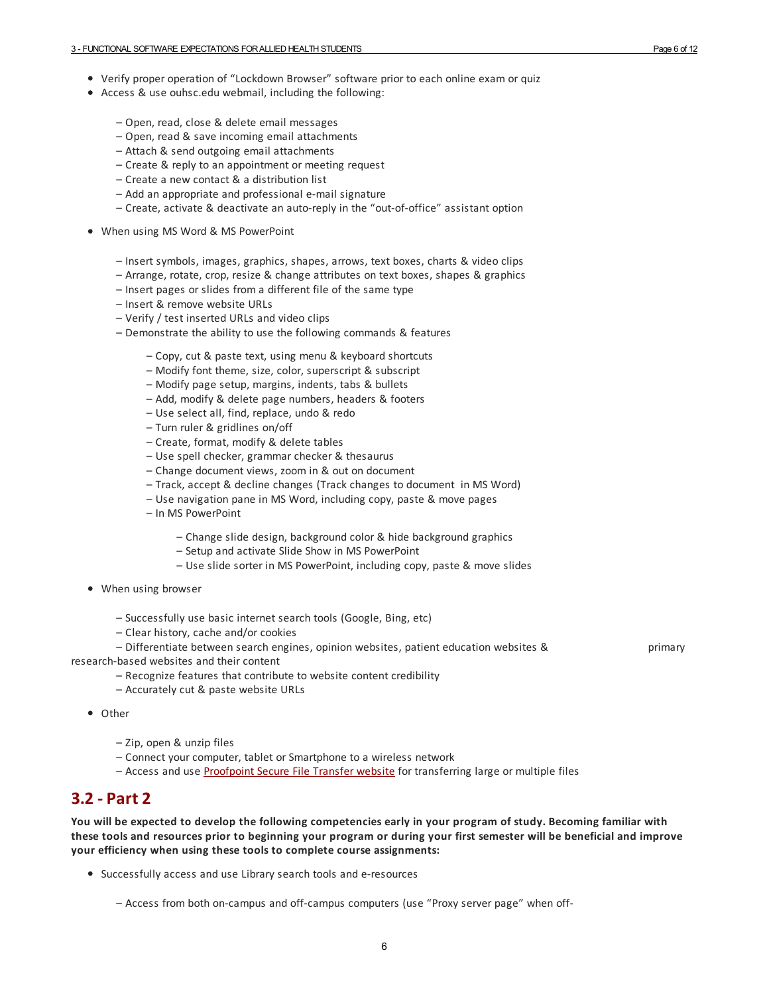- Verify proper operation of "Lockdown Browser" software prior to each online exam or quiz
- Access & use ouhsc.edu webmail, including the following:
	- Open, read, close & delete email messages
	- Open, read & save incoming email attachments
	- Attach & send outgoing email attachments
	- Create & reply to an appointment or meeting request
	- Create a new contact & a distribution list
	- Add an appropriate and professional e-mail signature
	- Create, activate & deactivate an auto-reply in the "out-of-office" assistant option
- When using MS Word & MS PowerPoint
	- Insert symbols, images, graphics, shapes, arrows, text boxes, charts & video clips
	- Arrange, rotate, crop, resize & change attributes on text boxes, shapes & graphics
	- Insert pages or slides from a different file of the same type
	- Insert & remove website URLs
	- Verify / test inserted URLs and video clips
	- Demonstrate the ability to use the following commands & features
		- Copy, cut & paste text, using menu & keyboard shortcuts
		- Modify font theme, size, color, superscript & subscript
		- Modify page setup, margins, indents, tabs & bullets
		- Add, modify & delete page numbers, headers & footers
		- Use select all, find, replace, undo & redo
		- Turn ruler & gridlines on/off
		- Create, format, modify & delete tables
		- Use spell checker, grammar checker & thesaurus
		- Change document views, zoom in & out on document
		- Track, accept & decline changes (Track changes to document in MS Word)
		- Use navigation pane in MS Word, including copy, paste & move pages
		- In MS PowerPoint
			- Change slide design, background color & hide background graphics
			- Setup and activate Slide Show in MS PowerPoint
			- Use slide sorter in MS PowerPoint, including copy, paste & move slides
- When using browser
	- Successfully use basic internet search tools (Google, Bing, etc)
	- Clear history, cache and/or cookies

– Differentiate between search engines, opinion websites, patient education websites & primary

research-based websites and their content

– Recognize features that contribute to website content credibility

- Accurately cut & paste website URLs
- Other
	- Zip, open & unzip files
	- Connect your computer, tablet or Smartphone to a wireless network
	- Access and use [Proofpoint](http://it.ouhsc.edu/services/SecureFileTransfer.asp) Secure File Transfer website for transferring large or multiple files

#### <span id="page-5-0"></span>**3.2 - Part 2**

You will be expected to develop the following competencies early in your program of study. Becoming familiar with these tools and resources prior to beginning your program or during your first semester will be beneficial and improve **your efficiency when using these tools to complete course assignments:**

Successfully access and use Library search tools and e-resources

– Access from both on-campus and off-campus computers (use "Proxy server page" when off-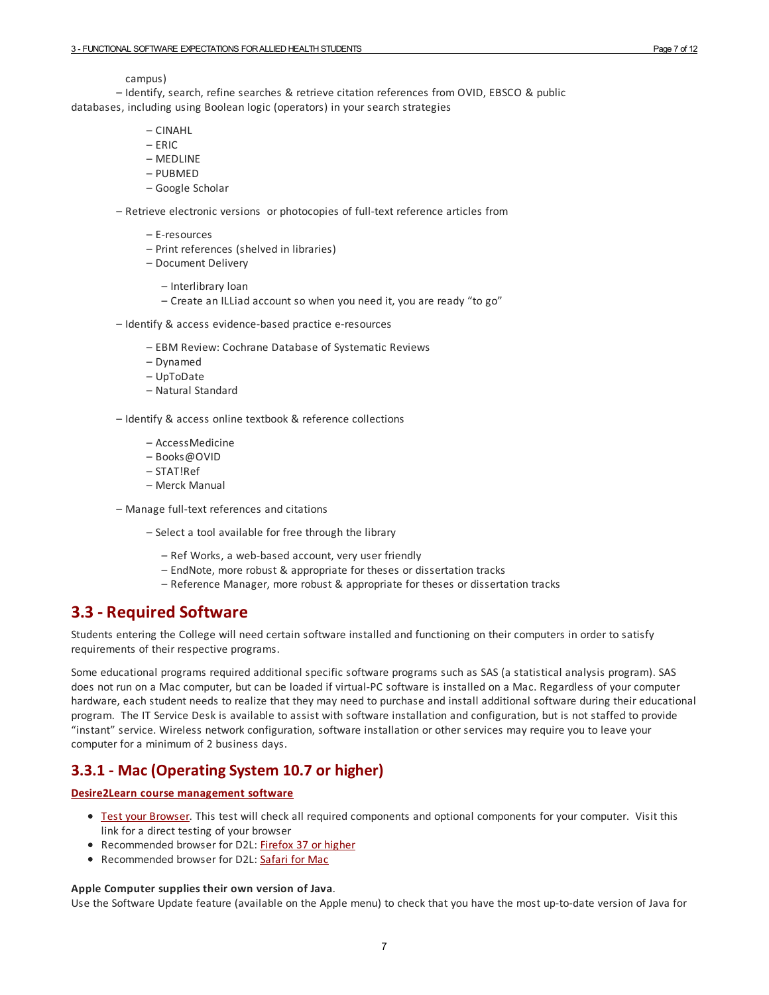#### campus)

– Identify, search, refine searches & retrieve citation references from OVID, EBSCO & public databases, including using Boolean logic (operators) in your search strategies

- CINAHL
- $-$  FRIC
- MEDLINE
- PUBMED
- Google Scholar

– Retrieve electronic versions or photocopies of full-text reference articles from

- E-resources
- Print references (shelved in libraries)
- Document Delivery
	- Interlibrary loan
	- Create an ILLiad account so when you need it, you are ready "to go"
- Identify & access evidence-based practice e-resources
	- EBM Review: Cochrane Database of Systematic Reviews
	- Dynamed
	- UpToDate
	- Natural Standard

– Identify & access online textbook & reference collections

- AccessMedicine
- Books@OVID
- STAT!Ref
- Merck Manual
- Manage full-text references and citations
	- Select a tool available for free through the library
		- Ref Works, a web-based account, very user friendly
		- EndNote, more robust & appropriate for theses or dissertation tracks
		- Reference Manager, more robust & appropriate for theses or dissertation tracks

#### <span id="page-6-0"></span>**3.3 - Required Software**

Students entering the College will need certain software installed and functioning on their computers in order to satisfy requirements of their respective programs.

Some educational programs required additional specific software programs such as SAS (a statistical analysis program). SAS does not run on a Mac computer, but can be loaded if virtual-PC software is installed on a Mac. Regardless of your computer hardware, each student needs to realize that they may need to purchase and install additional software during their educational program. The IT Service Desk is available to assist with software installation and configuration, but is not staffed to provide "instant" service. Wireless network configuration, software installation or other services may require you to leave your computer for a minimum of 2 business days.

#### <span id="page-6-1"></span>**3.3.1 - Mac (OperatingSystem 10.7 or higher)**

#### **Desire2Learn course [management](https://learn.ouhsc.edu) software**

- **Test your [Browser](https://learn.ouhsc.edu/d2l/systemCheck)**. This test will check all required components and optional components for your computer. Visit this link fora direct testing of your browser
- Recommended browser for D2L: [Firefox](http://www.mozilla.org/en-US/firefox/new/) 37 or higher
- Recommended browser for D2L: [Safari](http://www.apple.com/safari/) for Mac

#### **Apple Computer supplies their own version of Java**.

Use the Software Update feature (available on the Apple menu) to check that you have the most up-to-date version of Java for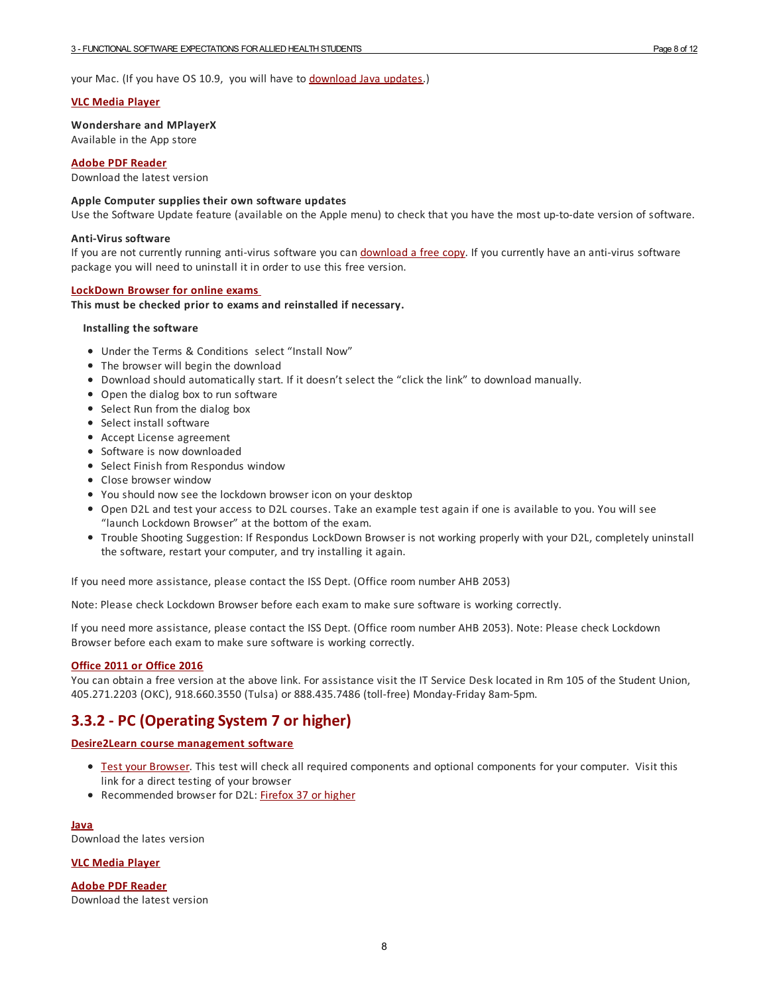your Mac. (If you have OS 10.9, you will have to [download](http://java.com/en/) Java updates.)

#### **VLC [Media](http://download.cnet.com/VLC-Media-Player/3000-2139_4-10210434.html) Player**

**Wondershare and MPlayerX** Available in the App store

**Adobe PDF [Reader](http://get.adobe.com/reader/)**

Download the latest version

#### **Apple Computer supplies their own software updates**

Use the Software Update feature (available on the Apple menu) to check that you have the most up-to-date version of software.

#### **Anti-Virus software**

If you are not currently running anti-virus software you can [download](http://it.ouhsc.edu/services/desktopmgmnt/antivirussoftware.asp) a free copy. If you currently have an anti-virus software package you will need to uninstall it in order to use this free version.

#### **[LockDown](http://www.respondus.com/lockdown/information.pl?ID=933136577) Browser for online exams**

**This must be checked prior to exams and reinstalled if necessary.**

#### **Installing the software**

- Under the Terms & Conditions select "Install Now"
- The browser will begin the download
- Download should automatically start. If it doesn't select the "click the link" to download manually.
- Open the dialog box to run software
- Select Run from the dialog box
- Select install software
- Accept License agreement
- **•** Software is now downloaded
- Select Finish from Respondus window
- Close browser window
- You should now see the lockdown browser icon on your desktop
- Open D2L and test youraccess to D2L courses. Take an example test again if one is available to you. You will see "launch Lockdown Browser" at the bottom of the exam.
- Trouble Shooting Suggestion: If Respondus LockDown Browser is not working properly with your D2L, completely uninstall the software, restart your computer, and try installing it again.

If you need more assistance, please contact the ISS Dept. (Office room number AHB 2053)

Note: Please check Lockdown Browser before each exam to make sure software is working correctly.

If you need more assistance, please contact the ISS Dept. (Office room number AHB 2053). Note: Please check Lockdown Browser before each exam to make sure software is working correctly.

#### **Office 2011 or [Office](https://it.ouhsc.edu/mssoftware/) 2016**

You can obtain a free version at the above link. For assistance visit the IT Service Desk located in Rm 105 of the Student Union. 405.271.2203 (OKC), 918.660.3550 (Tulsa) or 888.435.7486 (toll-free) Monday-Friday 8am-5pm.

#### <span id="page-7-0"></span>**3.3.2 - PC (OperatingSystem 7 or higher)**

#### **Desire2Learn course [management](https://learn.ouhsc.edu) software**

- **Test your [Browser](https://learn.ouhsc.edu/d2l/systemCheck)**. This test will check all required components and optional components for your computer. Visit this link fora direct testing of your browser
- Recommended browser for D2L: [Firefox](http://www.mozilla.org/en-US/firefox/new/) 37 or higher

**[Java](http://www.java.com/en/download/index.jsp)** Download the lates version

#### **VLC [Media](http://www.java.com/en/download/index.jsp) Player**

**Adobe PDF [Reader](http://get.adobe.com/reader/)** Download the latest version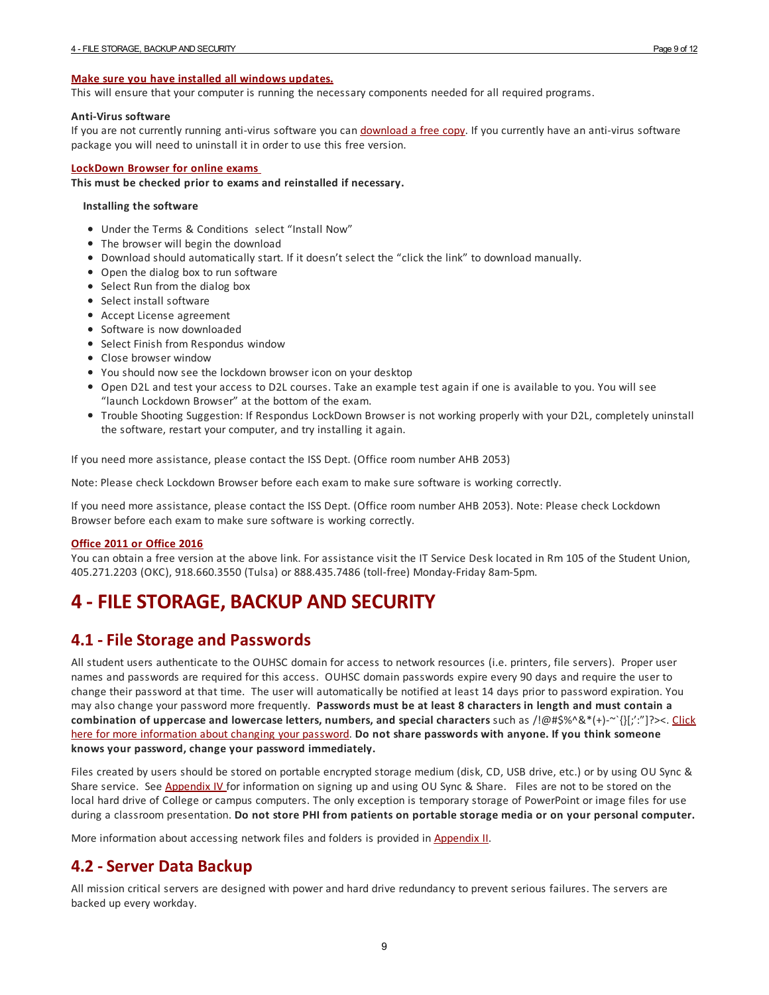#### **Make sure you have installed all [windows](http://update.microsoft.com/microsoftupdate/v6/default.aspx?ln=en-us) updates.**

This will ensure that your computer is running the necessary components needed forall required programs.

#### **Anti-Virus software**

If you are not currently running anti-virus software you can [download](http://it.ouhsc.edu/services/desktopmgmnt/antivirussoftware.asp) a free copy. If you currently have an anti-virus software package you will need to uninstall it in order to use this free version.

#### **[LockDown](http://www.respondus.com/lockdown/information.pl?ID=933136577) Browser for online exams**

**This must be checked prior to exams and reinstalled if necessary.**

#### **Installing the software**

- Under the Terms & Conditions select "Install Now"
- The browser will begin the download
- Download should automatically start. If it doesn't select the "click the link" to download manually.
- Open the dialog box to run software
- Select Run from the dialog box
- Select install software
- Accept License agreement
- Software is now downloaded
- Select Finish from Respondus window
- Close browser window
- You should now see the lockdown browser icon on your desktop
- Open D2L and test youraccess to D2L courses. Take an example test again if one is available to you. You will see "launch Lockdown Browser" at the bottom of the exam.
- Trouble Shooting Suggestion: If Respondus LockDown Browser is not working properly with your D2L, completely uninstall the software, restart your computer, and try installing it again.

If you need more assistance, please contact the ISS Dept. (Office room number AHB 2053)

Note: Please check Lockdown Browser before each exam to make sure software is working correctly.

If you need more assistance, please contact the ISS Dept. (Office room number AHB 2053). Note: Please check Lockdown Browser before each exam to make sure software is working correctly.

#### **Office 2011 or [Office](https://it.ouhsc.edu/mssoftware/) 2016**

You can obtain a free version at the above link. Forassistance visit the IT Service Desk located in Rm 105 of the Student Union, 405.271.2203 (OKC), 918.660.3550 (Tulsa) or 888.435.7486 (toll-free) Monday-Friday 8am-5pm.

## <span id="page-8-0"></span>**4 -FILESTORAGE, BACKUP AND SECURITY**

#### <span id="page-8-1"></span>**4.1 -File Storage and Passwords**

All student users authenticate to the OUHSC domain foraccess to network resources (i.e. printers, file servers). Proper user names and passwords are required for this access. OUHSC domain passwords expire every 90 days and require the user to change their password at that time. The user will automatically be notified at least 14 days prior to password expiration. You may also change your password more frequently. **Passwords must be at least 8 characters in length and must contain a combination of uppercase and lowercase letters, numbers, and special characters** such as [/!@#\\$%^&\\*\(+\)-~`{}\[;':"\]?><.](http://www.ouhsc.edu/password/) Click here for more information about changing your password. **Do not share passwords with anyone. If you think someone knows your password, change your password immediately.**

Files created by users should be stored on portable encrypted storage medium (disk, CD, USB drive, etc.) or by using OU Sync & Share service. See [Appendix](https://ahstudentcomputinghandbook.ouhsc.edu/hbSections.aspx?ID=2484) IV for information on signing up and using OU Sync & Share. Files are not to be stored on the local hard drive of College or campus computers. The only exception is temporary storage of PowerPoint or image files for use during a classroom presentation. **Do not store PHI from patients on portable storage media or on your personal computer.**

More information about accessing network files and folders is provided in [Appendix](https://ahstudentcomputinghandbook.ouhsc.edu/hbSections.aspx?ID=2482) II.

#### <span id="page-8-2"></span>**4.2 -Server Data Backup**

All mission critical servers are designed with powerand hard drive redundancy to prevent serious failures. The servers are backed up every workday.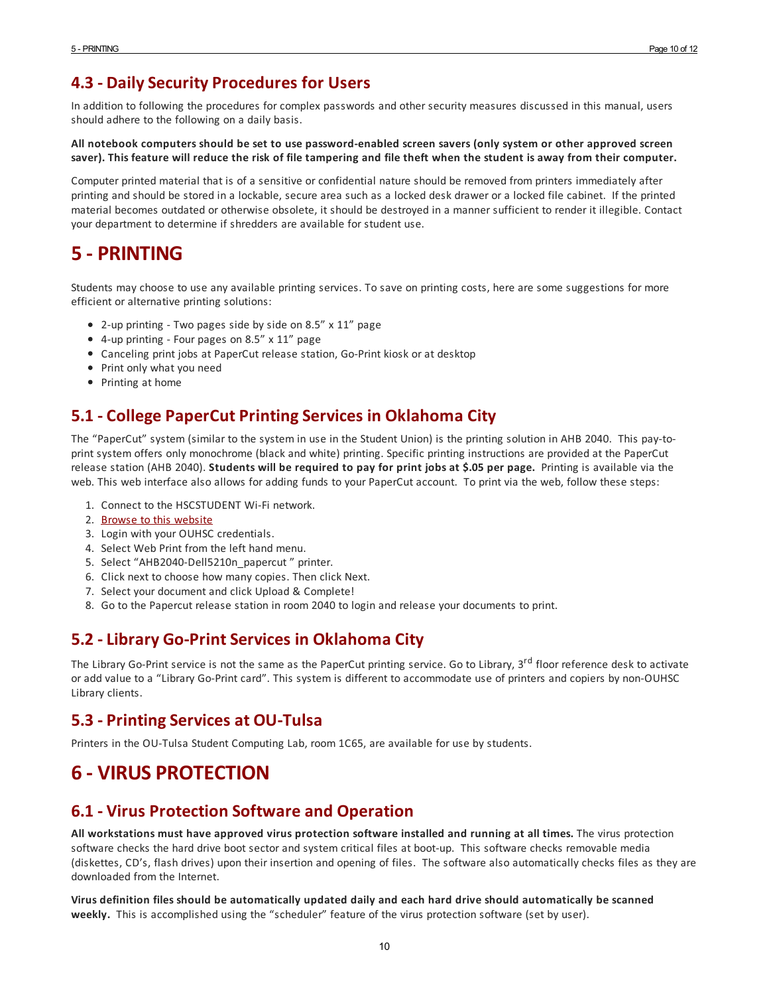## <span id="page-9-0"></span>**4.3 - DailySecurity Procedures for Users**

In addition to following the procedures for complex passwords and other security measures discussed in this manual, users should adhere to the following on a daily basis.

#### All notebook computers should be set to use password-enabled screen savers (only system or other approved screen saver). This feature will reduce the risk of file tampering and file theft when the student is away from their computer.

Computer printed material that is of a sensitive or confidential nature should be removed from printers immediately after printing and should be stored in a lockable, secure area such as a locked desk drawer ora locked file cabinet. If the printed material becomes outdated or otherwise obsolete, it should be destroyed in a manner sufficient to render it illegible. Contact your department to determine if shredders are available for student use.

## <span id="page-9-1"></span>**5 - PRINTING**

Students may choose to use any available printing services. To save on printing costs, here are some suggestions for more efficient or alternative printing solutions:

- 2-up printing Two pages side by side on 8.5" x 11" page
- 4-up printing Four pages on 8.5" x 11" page
- Canceling print jobs at PaperCut release station, Go-Print kiosk or at desktop
- Print only what you need
- Printing at home

## <span id="page-9-2"></span>**5.1 - College PaperCut PrintingServices in Oklahoma City**

The "PaperCut" system (similar to the system in use in the Student Union) is the printing solution in AHB 2040. This pay-toprint system offers only monochrome (black and white) printing. Specific printing instructions are provided at the PaperCut release station (AHB 2040). **Students will be required to pay for print jobs at \$.05 per page.** Printing is available via the web. This web interface also allows foradding funds to your PaperCut account. To print via the web, follow these steps:

- 1. Connect to the HSCSTUDENT Wi-Fi network.
- 2. Browse to this [website](http://papercut.ouhsc.edu:9191)
- 3. Login with your OUHSC credentials.
- 4. Select Web Print from the left hand menu.
- 5. Select "AHB2040-Dell5210n\_papercut " printer.
- 6. Click next to choose how many copies. Then click Next.
- 7. Select your document and click Upload & Complete!
- 8. Go to the Papercut release station in room 2040 to login and release your documents to print.

## <span id="page-9-3"></span>**5.2 -Library Go-PrintServices in Oklahoma City**

The Library Go-Print service is not the same as the PaperCut printing service. Go to Library, 3<sup>rd</sup> floor reference desk to activate oradd value to a "Library Go-Print card". This system is different to accommodate use of printers and copiers by non-OUHSC Library clients.

#### <span id="page-9-4"></span>**5.3 - PrintingServices at OU-Tulsa**

Printers in the OU-Tulsa Student Computing Lab, room 1C65, are available for use by students.

## <span id="page-9-5"></span>**6 - VIRUS PROTECTION**

## <span id="page-9-6"></span>**6.1 - Virus Protection Software and Operation**

**All workstations must have approved virus protection software installed and running at all times.** The virus protection software checks the hard drive boot sectorand system critical files at boot-up. This software checks removable media (diskettes, CD's, flash drives) upon their insertion and opening of files. The software also automatically checks files as they are downloaded from the Internet.

**Virus definition files should be automatically updated daily and each hard drive should automatically be scanned weekly.** This is accomplished using the "scheduler" feature of the virus protection software (set by user).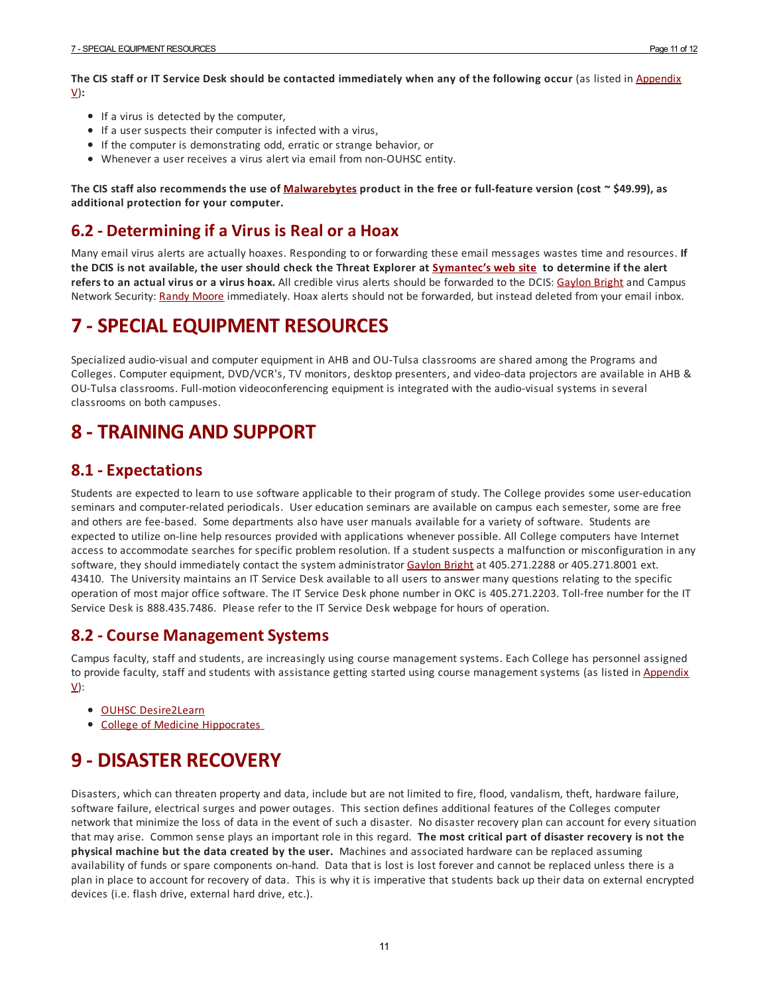The CIS staff or IT Service Desk should be contacted [immediately](https://ahstudentcomputinghandbook.ouhsc.edu/hbSections.aspx?ID=2485) when any of the following occur (as listed in Appendix V)**:**

- If a virus is detected by the computer,
- If a user suspects their computer is infected with a virus,
- If the computer is demonstrating odd, erratic or strange behavior, or
- Whenevera user receives a virus alert via email from non-OUHSC entity.

The CIS staff also recommends the use of [Malwarebytes](http://www.malwarebytes.org/)) product in the free or full-feature version (cost  $\sim$  \$49.99), as **additional protection for your computer.**

### <span id="page-10-0"></span>**6.2 - Determiningif a Virus is Real or a Hoax**

Many email virus alerts are actually hoaxes. Responding to or forwarding these email messages wastes time and resources. **If** the DCIS is not available, the user should check the Threat Explorer at [Symantec's](http://www.symantec.com/security_response/index.jsp) web site to determine if the alert **refers to an actual virus or a virus hoax.** All credible virus alerts should be forwarded to the DCIS: [Gaylon](mailto:gaylon-bright@ouhsc.edu) Bright and Campus Network Security: [Randy](mailto:randy-moore@ouhsc.edu) Moore immediately. Hoax alerts should not be forwarded, but instead deleted from your email inbox.

## <span id="page-10-1"></span>**7 -SPECIALEQUIPMENT RESOURCES**

Specialized audio-visual and computer equipment in AHB and OU-Tulsa classrooms are shared among the Programs and Colleges. Computer equipment, DVD/VCR's, TV monitors, desktop presenters, and video-data projectors are available in AHB & OU-Tulsa classrooms. Full-motion videoconferencing equipment is integrated with the audio-visual systems in several classrooms on both campuses.

## <span id="page-10-2"></span>**8 - TRAINING AND SUPPORT**

## <span id="page-10-3"></span>**8.1 -Expectations**

Students are expected to learn to use software applicable to their program of study. The College provides some user-education seminars and computer-related periodicals. User education seminars are available on campus each semester, some are free and others are fee-based. Some departments also have user manuals available fora variety of software. Students are expected to utilize on-line help resources provided with applications whenever possible. All College computers have Internet access to accommodate searches for specific problem resolution. If a student suspects a malfunction or misconfiguration in any software, they should immediately contact the system administrator [Gaylon](mailto:gaylon-bright@ouhsc.edu ) Bright at 405.271.2288 or 405.271.8001 ext. 43410. The University maintains an IT Service Desk available to all users to answer many questions relating to the specific operation of most major office software. The IT Service Desk phone number in OKC is 405.271.2203. Toll-free number for the IT Service Desk is 888.435.7486. Please refer to the IT Service Desk webpage for hours of operation.

#### <span id="page-10-4"></span>**8.2 - Course ManagementSystems**

Campus faculty, staff and students, are increasingly using course management systems. Each College has personnel assigned to provide faculty, staff and students with assistance getting started using course [management](https://ahstudentcomputinghandbook.ouhsc.edu/hbSections.aspx?ID=2485) systems (as listed in Appendix V):

- OUHSC [Desire2Learn](https://learn.ouhsc.edu/)
- College of Medicine [Hippocrates](http://hippocrates.ouhsc.edu/)

## <span id="page-10-5"></span>**9 - DISASTER RECOVERY**

Disasters, which can threaten property and data, include but are not limited to fire, flood, vandalism, theft, hardware failure, software failure, electrical surges and power outages. This section defines additional features of the Colleges computer network that minimize the loss of data in the event of such a disaster. No disaster recovery plan can account for every situation that may arise. Common sense plays an important role in this regard. **The most critical part of disaster recovery is not the physical machine but the data created by the user.** Machines and associated hardware can be replaced assuming availability of funds or spare components on-hand. Data that is lost is lost foreverand cannot be replaced unless there is a plan in place to account for recovery of data. This is why it is imperative that students back up their data on external encrypted devices (i.e. flash drive, external hard drive, etc.).